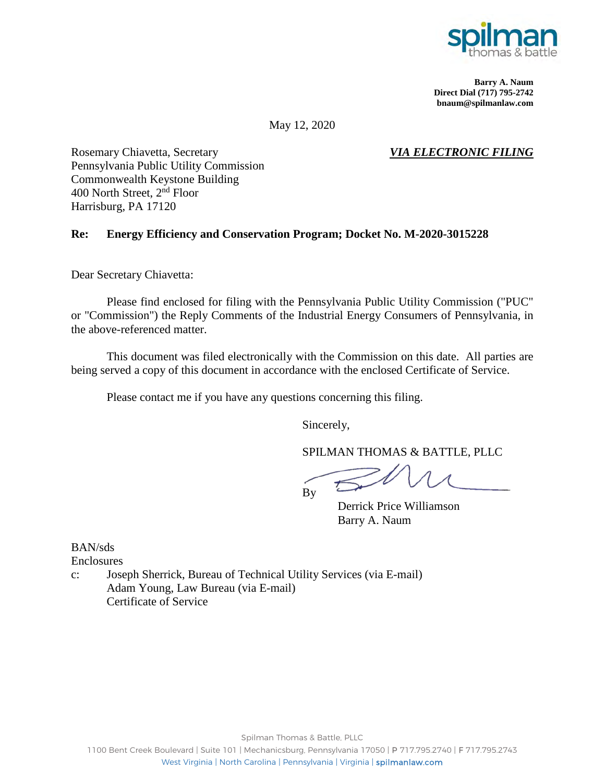

**Barry A. Naum Direct Dial (717) 795-2742 bnaum@spilmanlaw.com** 

May 12, 2020

Rosemary Chiavetta, Secretary *VIA ELECTRONIC FILING* Pennsylvania Public Utility Commission Commonwealth Keystone Building 400 North Street, 2nd Floor Harrisburg, PA 17120

# **Re: Energy Efficiency and Conservation Program; Docket No. M-2020-3015228**

Dear Secretary Chiavetta:

Please find enclosed for filing with the Pennsylvania Public Utility Commission ("PUC" or "Commission") the Reply Comments of the Industrial Energy Consumers of Pennsylvania, in the above-referenced matter.

This document was filed electronically with the Commission on this date. All parties are being served a copy of this document in accordance with the enclosed Certificate of Service.

Please contact me if you have any questions concerning this filing.

Sincerely,

SPILMAN THOMAS & BATTLE, PLLC

By

Derrick Price Williamson Barry A. Naum

BAN/sds

Enclosures

c: Joseph Sherrick, Bureau of Technical Utility Services (via E-mail) Adam Young, Law Bureau (via E-mail) Certificate of Service

1100 Bent Creek Boulevard | Suite 101 | Mechanicsburg, Pennsylvania 17050 | P 717.795.2740 | F 717.795.2743 West Virginia | North Carolina | Pennsylvania | Virginia | spilmanlaw.com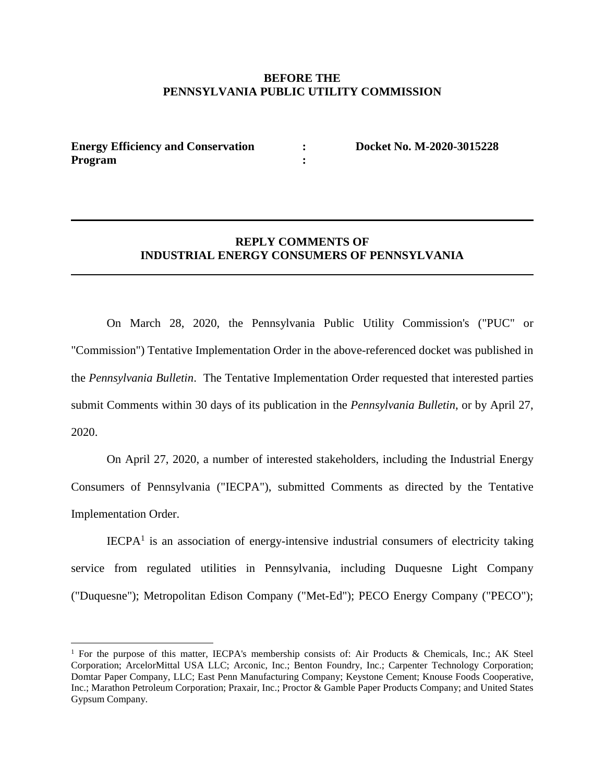# **BEFORE THE PENNSYLVANIA PUBLIC UTILITY COMMISSION**

**Energy Efficiency and Conservation : Docket No. M-2020-3015228 Program :**  $\qquad \qquad$  :

# **REPLY COMMENTS OF INDUSTRIAL ENERGY CONSUMERS OF PENNSYLVANIA**

On March 28, 2020, the Pennsylvania Public Utility Commission's ("PUC" or "Commission") Tentative Implementation Order in the above-referenced docket was published in the *Pennsylvania Bulletin*. The Tentative Implementation Order requested that interested parties submit Comments within 30 days of its publication in the *Pennsylvania Bulletin*, or by April 27, 2020.

On April 27, 2020, a number of interested stakeholders, including the Industrial Energy Consumers of Pennsylvania ("IECPA"), submitted Comments as directed by the Tentative Implementation Order.

 $IECPA<sup>1</sup>$  is an association of energy-intensive industrial consumers of electricity taking service from regulated utilities in Pennsylvania, including Duquesne Light Company ("Duquesne"); Metropolitan Edison Company ("Met-Ed"); PECO Energy Company ("PECO");

<sup>&</sup>lt;sup>1</sup> For the purpose of this matter, IECPA's membership consists of: Air Products & Chemicals, Inc.; AK Steel Corporation; ArcelorMittal USA LLC; Arconic, Inc.; Benton Foundry, Inc.; Carpenter Technology Corporation; Domtar Paper Company, LLC; East Penn Manufacturing Company; Keystone Cement; Knouse Foods Cooperative, Inc.; Marathon Petroleum Corporation; Praxair, Inc.; Proctor & Gamble Paper Products Company; and United States Gypsum Company.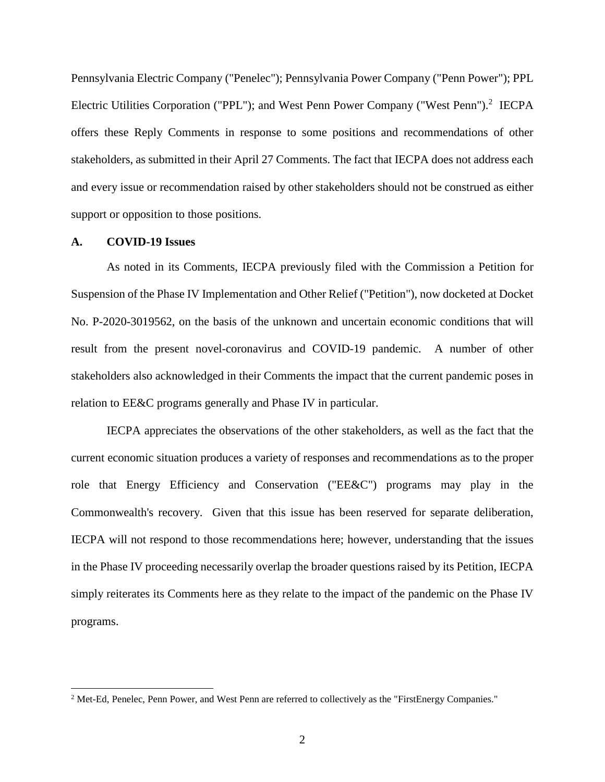Pennsylvania Electric Company ("Penelec"); Pennsylvania Power Company ("Penn Power"); PPL Electric Utilities Corporation ("PPL"); and West Penn Power Company ("West Penn").<sup>2</sup> IECPA offers these Reply Comments in response to some positions and recommendations of other stakeholders, as submitted in their April 27 Comments. The fact that IECPA does not address each and every issue or recommendation raised by other stakeholders should not be construed as either support or opposition to those positions.

## **A. COVID-19 Issues**

As noted in its Comments, IECPA previously filed with the Commission a Petition for Suspension of the Phase IV Implementation and Other Relief ("Petition"), now docketed at Docket No. P-2020-3019562, on the basis of the unknown and uncertain economic conditions that will result from the present novel-coronavirus and COVID-19 pandemic. A number of other stakeholders also acknowledged in their Comments the impact that the current pandemic poses in relation to EE&C programs generally and Phase IV in particular.

IECPA appreciates the observations of the other stakeholders, as well as the fact that the current economic situation produces a variety of responses and recommendations as to the proper role that Energy Efficiency and Conservation ("EE&C") programs may play in the Commonwealth's recovery. Given that this issue has been reserved for separate deliberation, IECPA will not respond to those recommendations here; however, understanding that the issues in the Phase IV proceeding necessarily overlap the broader questions raised by its Petition, IECPA simply reiterates its Comments here as they relate to the impact of the pandemic on the Phase IV programs.

 $2<sup>2</sup>$  Met-Ed, Penelec, Penn Power, and West Penn are referred to collectively as the "FirstEnergy Companies."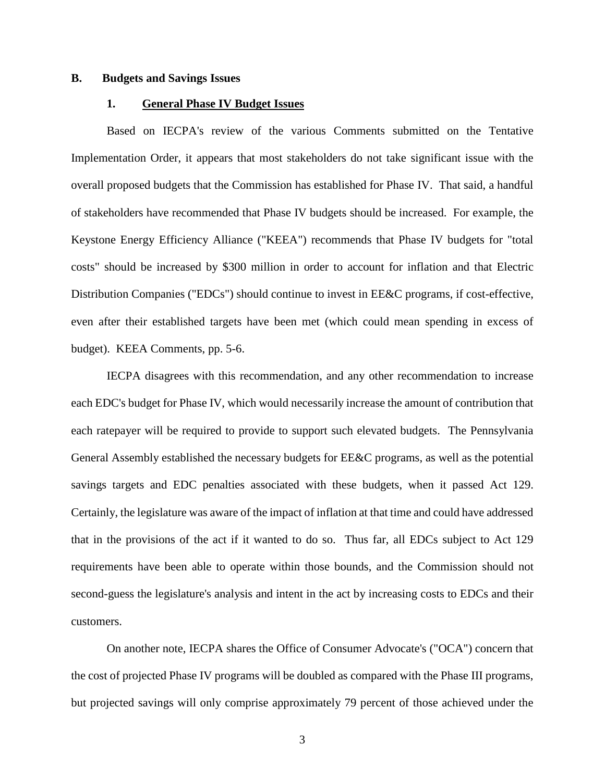# **B. Budgets and Savings Issues**

## **1. General Phase IV Budget Issues**

Based on IECPA's review of the various Comments submitted on the Tentative Implementation Order, it appears that most stakeholders do not take significant issue with the overall proposed budgets that the Commission has established for Phase IV. That said, a handful of stakeholders have recommended that Phase IV budgets should be increased. For example, the Keystone Energy Efficiency Alliance ("KEEA") recommends that Phase IV budgets for "total costs" should be increased by \$300 million in order to account for inflation and that Electric Distribution Companies ("EDCs") should continue to invest in EE&C programs, if cost-effective, even after their established targets have been met (which could mean spending in excess of budget). KEEA Comments, pp. 5-6.

IECPA disagrees with this recommendation, and any other recommendation to increase each EDC's budget for Phase IV, which would necessarily increase the amount of contribution that each ratepayer will be required to provide to support such elevated budgets. The Pennsylvania General Assembly established the necessary budgets for EE&C programs, as well as the potential savings targets and EDC penalties associated with these budgets, when it passed Act 129. Certainly, the legislature was aware of the impact of inflation at that time and could have addressed that in the provisions of the act if it wanted to do so. Thus far, all EDCs subject to Act 129 requirements have been able to operate within those bounds, and the Commission should not second-guess the legislature's analysis and intent in the act by increasing costs to EDCs and their customers.

On another note, IECPA shares the Office of Consumer Advocate's ("OCA") concern that the cost of projected Phase IV programs will be doubled as compared with the Phase III programs, but projected savings will only comprise approximately 79 percent of those achieved under the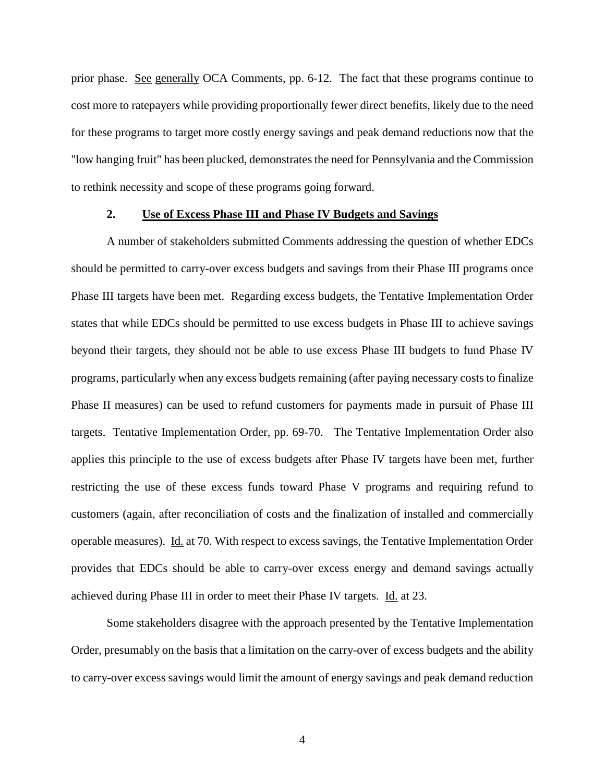prior phase. See generally OCA Comments, pp. 6-12. The fact that these programs continue to cost more to ratepayers while providing proportionally fewer direct benefits, likely due to the need for these programs to target more costly energy savings and peak demand reductions now that the "low hanging fruit" has been plucked, demonstrates the need for Pennsylvania and the Commission to rethink necessity and scope of these programs going forward.

## **2. Use of Excess Phase III and Phase IV Budgets and Savings**

A number of stakeholders submitted Comments addressing the question of whether EDCs should be permitted to carry-over excess budgets and savings from their Phase III programs once Phase III targets have been met. Regarding excess budgets, the Tentative Implementation Order states that while EDCs should be permitted to use excess budgets in Phase III to achieve savings beyond their targets, they should not be able to use excess Phase III budgets to fund Phase IV programs, particularly when any excess budgets remaining (after paying necessary costs to finalize Phase II measures) can be used to refund customers for payments made in pursuit of Phase III targets. Tentative Implementation Order, pp. 69-70. The Tentative Implementation Order also applies this principle to the use of excess budgets after Phase IV targets have been met, further restricting the use of these excess funds toward Phase V programs and requiring refund to customers (again, after reconciliation of costs and the finalization of installed and commercially operable measures). Id. at 70. With respect to excess savings, the Tentative Implementation Order provides that EDCs should be able to carry-over excess energy and demand savings actually achieved during Phase III in order to meet their Phase IV targets. Id. at 23.

Some stakeholders disagree with the approach presented by the Tentative Implementation Order, presumably on the basis that a limitation on the carry-over of excess budgets and the ability to carry-over excess savings would limit the amount of energy savings and peak demand reduction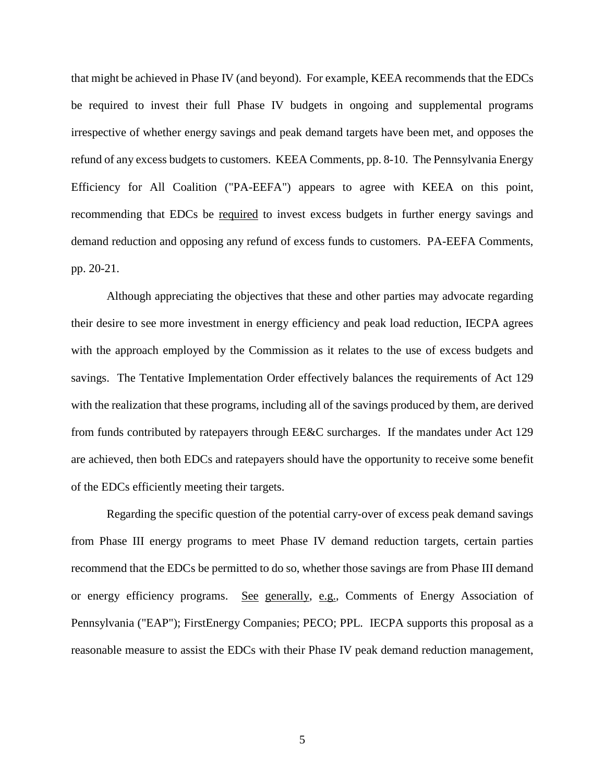that might be achieved in Phase IV (and beyond). For example, KEEA recommends that the EDCs be required to invest their full Phase IV budgets in ongoing and supplemental programs irrespective of whether energy savings and peak demand targets have been met, and opposes the refund of any excess budgets to customers. KEEA Comments, pp. 8-10. The Pennsylvania Energy Efficiency for All Coalition ("PA-EEFA") appears to agree with KEEA on this point, recommending that EDCs be required to invest excess budgets in further energy savings and demand reduction and opposing any refund of excess funds to customers. PA-EEFA Comments, pp. 20-21.

Although appreciating the objectives that these and other parties may advocate regarding their desire to see more investment in energy efficiency and peak load reduction, IECPA agrees with the approach employed by the Commission as it relates to the use of excess budgets and savings. The Tentative Implementation Order effectively balances the requirements of Act 129 with the realization that these programs, including all of the savings produced by them, are derived from funds contributed by ratepayers through EE&C surcharges. If the mandates under Act 129 are achieved, then both EDCs and ratepayers should have the opportunity to receive some benefit of the EDCs efficiently meeting their targets.

Regarding the specific question of the potential carry-over of excess peak demand savings from Phase III energy programs to meet Phase IV demand reduction targets, certain parties recommend that the EDCs be permitted to do so, whether those savings are from Phase III demand or energy efficiency programs. See generally, e.g., Comments of Energy Association of Pennsylvania ("EAP"); FirstEnergy Companies; PECO; PPL. IECPA supports this proposal as a reasonable measure to assist the EDCs with their Phase IV peak demand reduction management,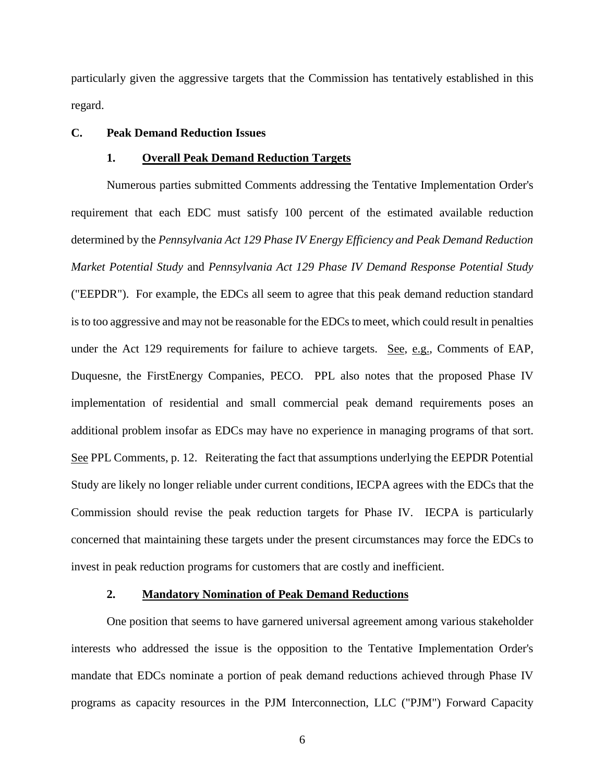particularly given the aggressive targets that the Commission has tentatively established in this regard.

# **C. Peak Demand Reduction Issues**

### **1. Overall Peak Demand Reduction Targets**

Numerous parties submitted Comments addressing the Tentative Implementation Order's requirement that each EDC must satisfy 100 percent of the estimated available reduction determined by the *Pennsylvania Act 129 Phase IV Energy Efficiency and Peak Demand Reduction Market Potential Study* and *Pennsylvania Act 129 Phase IV Demand Response Potential Study*  ("EEPDR"). For example, the EDCs all seem to agree that this peak demand reduction standard is to too aggressive and may not be reasonable for the EDCs to meet, which could result in penalties under the Act 129 requirements for failure to achieve targets. See, e.g., Comments of EAP, Duquesne, the FirstEnergy Companies, PECO. PPL also notes that the proposed Phase IV implementation of residential and small commercial peak demand requirements poses an additional problem insofar as EDCs may have no experience in managing programs of that sort. See PPL Comments, p. 12. Reiterating the fact that assumptions underlying the EEPDR Potential Study are likely no longer reliable under current conditions, IECPA agrees with the EDCs that the Commission should revise the peak reduction targets for Phase IV. IECPA is particularly concerned that maintaining these targets under the present circumstances may force the EDCs to invest in peak reduction programs for customers that are costly and inefficient.

# **2. Mandatory Nomination of Peak Demand Reductions**

One position that seems to have garnered universal agreement among various stakeholder interests who addressed the issue is the opposition to the Tentative Implementation Order's mandate that EDCs nominate a portion of peak demand reductions achieved through Phase IV programs as capacity resources in the PJM Interconnection, LLC ("PJM") Forward Capacity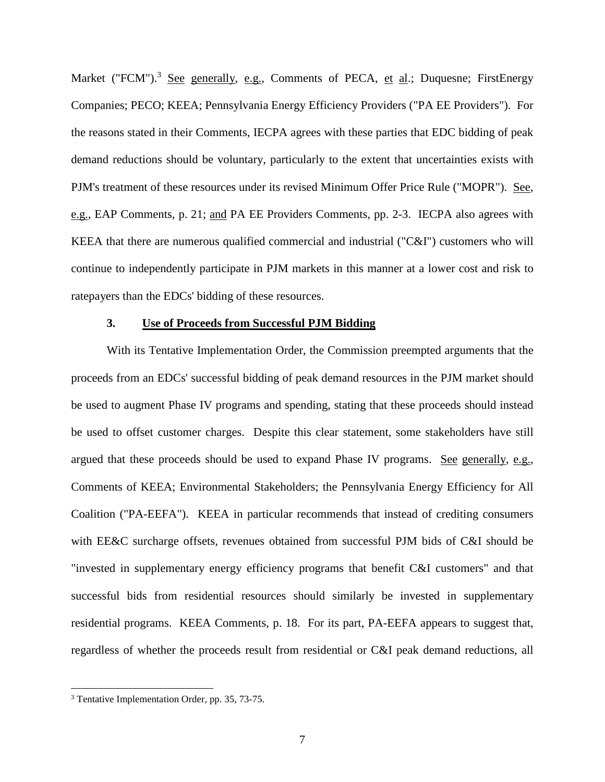Market ("FCM").<sup>3</sup> See generally, e.g., Comments of PECA, et al.; Duquesne; FirstEnergy Companies; PECO; KEEA; Pennsylvania Energy Efficiency Providers ("PA EE Providers"). For the reasons stated in their Comments, IECPA agrees with these parties that EDC bidding of peak demand reductions should be voluntary, particularly to the extent that uncertainties exists with PJM's treatment of these resources under its revised Minimum Offer Price Rule ("MOPR"). See, e.g., EAP Comments, p. 21; and PA EE Providers Comments, pp. 2-3. IECPA also agrees with KEEA that there are numerous qualified commercial and industrial ("C&I") customers who will continue to independently participate in PJM markets in this manner at a lower cost and risk to ratepayers than the EDCs' bidding of these resources.

## **3. Use of Proceeds from Successful PJM Bidding**

With its Tentative Implementation Order, the Commission preempted arguments that the proceeds from an EDCs' successful bidding of peak demand resources in the PJM market should be used to augment Phase IV programs and spending, stating that these proceeds should instead be used to offset customer charges. Despite this clear statement, some stakeholders have still argued that these proceeds should be used to expand Phase IV programs. See generally, e.g., Comments of KEEA; Environmental Stakeholders; the Pennsylvania Energy Efficiency for All Coalition ("PA-EEFA"). KEEA in particular recommends that instead of crediting consumers with EE&C surcharge offsets, revenues obtained from successful PJM bids of C&I should be "invested in supplementary energy efficiency programs that benefit C&I customers" and that successful bids from residential resources should similarly be invested in supplementary residential programs. KEEA Comments, p. 18. For its part, PA-EEFA appears to suggest that, regardless of whether the proceeds result from residential or C&I peak demand reductions, all

<sup>&</sup>lt;sup>3</sup> Tentative Implementation Order, pp. 35, 73-75.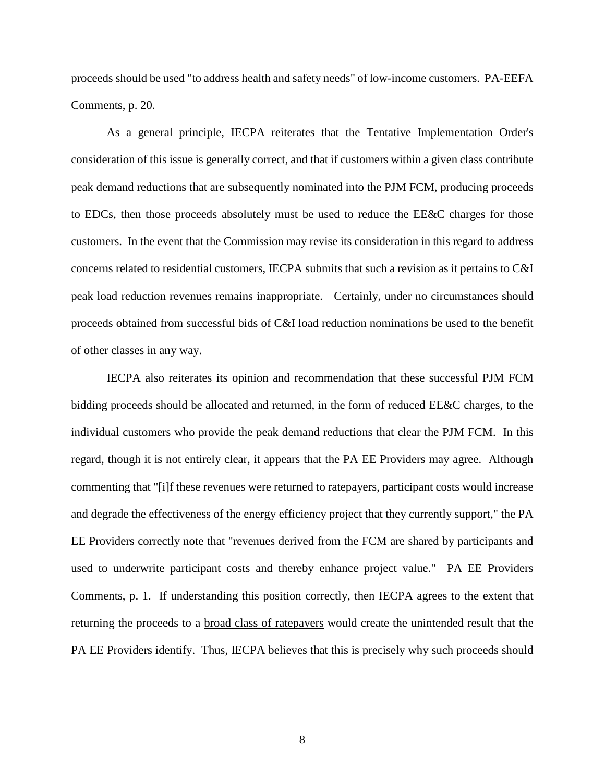proceeds should be used "to address health and safety needs" of low-income customers. PA-EEFA Comments, p. 20.

As a general principle, IECPA reiterates that the Tentative Implementation Order's consideration of this issue is generally correct, and that if customers within a given class contribute peak demand reductions that are subsequently nominated into the PJM FCM, producing proceeds to EDCs, then those proceeds absolutely must be used to reduce the EE&C charges for those customers. In the event that the Commission may revise its consideration in this regard to address concerns related to residential customers, IECPA submits that such a revision as it pertains to C&I peak load reduction revenues remains inappropriate. Certainly, under no circumstances should proceeds obtained from successful bids of C&I load reduction nominations be used to the benefit of other classes in any way.

IECPA also reiterates its opinion and recommendation that these successful PJM FCM bidding proceeds should be allocated and returned, in the form of reduced EE&C charges, to the individual customers who provide the peak demand reductions that clear the PJM FCM. In this regard, though it is not entirely clear, it appears that the PA EE Providers may agree. Although commenting that "[i]f these revenues were returned to ratepayers, participant costs would increase and degrade the effectiveness of the energy efficiency project that they currently support," the PA EE Providers correctly note that "revenues derived from the FCM are shared by participants and used to underwrite participant costs and thereby enhance project value." PA EE Providers Comments, p. 1. If understanding this position correctly, then IECPA agrees to the extent that returning the proceeds to a broad class of ratepayers would create the unintended result that the PA EE Providers identify. Thus, IECPA believes that this is precisely why such proceeds should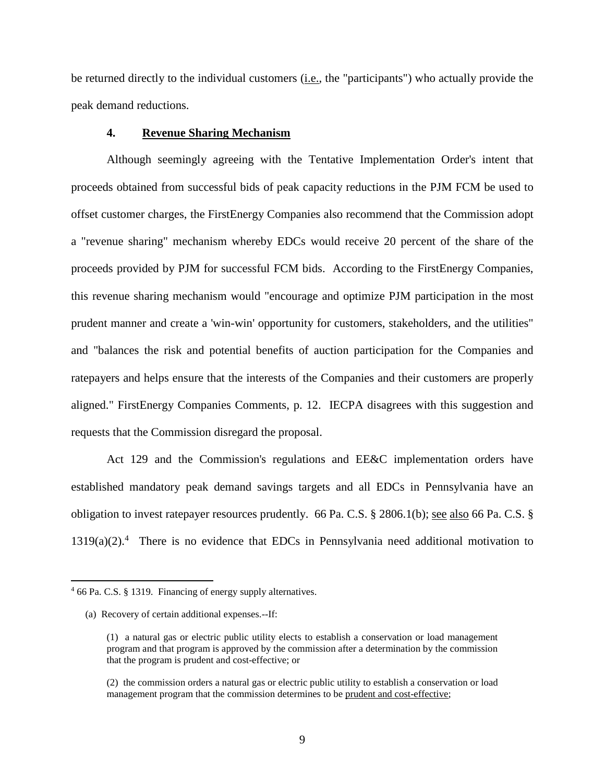be returned directly to the individual customers  $(i.e.,$  the "participants") who actually provide the peak demand reductions.

# **4. Revenue Sharing Mechanism**

Although seemingly agreeing with the Tentative Implementation Order's intent that proceeds obtained from successful bids of peak capacity reductions in the PJM FCM be used to offset customer charges, the FirstEnergy Companies also recommend that the Commission adopt a "revenue sharing" mechanism whereby EDCs would receive 20 percent of the share of the proceeds provided by PJM for successful FCM bids. According to the FirstEnergy Companies, this revenue sharing mechanism would "encourage and optimize PJM participation in the most prudent manner and create a 'win-win' opportunity for customers, stakeholders, and the utilities" and "balances the risk and potential benefits of auction participation for the Companies and ratepayers and helps ensure that the interests of the Companies and their customers are properly aligned." FirstEnergy Companies Comments, p. 12. IECPA disagrees with this suggestion and requests that the Commission disregard the proposal.

Act 129 and the Commission's regulations and EE&C implementation orders have established mandatory peak demand savings targets and all EDCs in Pennsylvania have an obligation to invest ratepayer resources prudently. 66 Pa. C.S. § 2806.1(b); see also 66 Pa. C.S. §  $1319(a)(2)$ .<sup>4</sup> There is no evidence that EDCs in Pennsylvania need additional motivation to

<sup>4</sup> 66 Pa. C.S. § 1319. Financing of energy supply alternatives.

<sup>(</sup>a) Recovery of certain additional expenses.--If:

<sup>(1)</sup> a natural gas or electric public utility elects to establish a conservation or load management program and that program is approved by the commission after a determination by the commission that the program is prudent and cost-effective; or

<sup>(2)</sup> the commission orders a natural gas or electric public utility to establish a conservation or load management program that the commission determines to be prudent and cost-effective;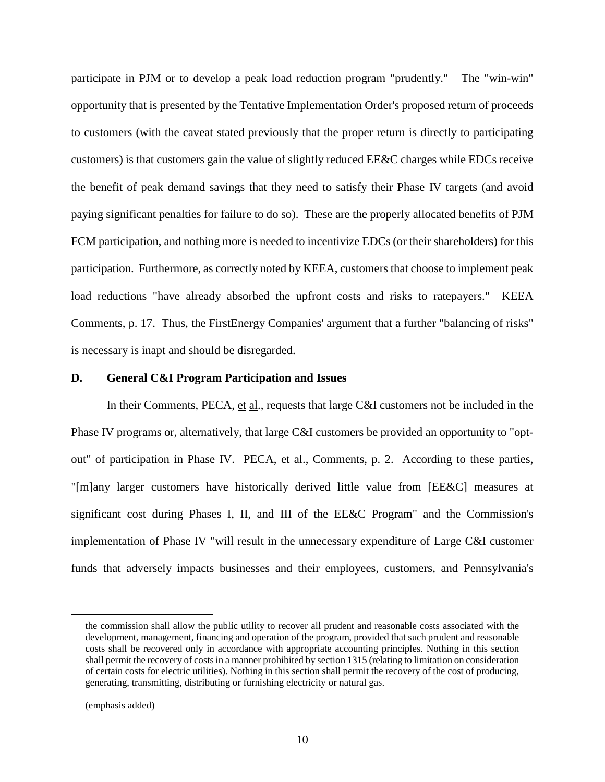participate in PJM or to develop a peak load reduction program "prudently." The "win-win" opportunity that is presented by the Tentative Implementation Order's proposed return of proceeds to customers (with the caveat stated previously that the proper return is directly to participating customers) is that customers gain the value of slightly reduced EE&C charges while EDCs receive the benefit of peak demand savings that they need to satisfy their Phase IV targets (and avoid paying significant penalties for failure to do so). These are the properly allocated benefits of PJM FCM participation, and nothing more is needed to incentivize EDCs (or their shareholders) for this participation. Furthermore, as correctly noted by KEEA, customers that choose to implement peak load reductions "have already absorbed the upfront costs and risks to ratepayers." KEEA Comments, p. 17. Thus, the FirstEnergy Companies' argument that a further "balancing of risks" is necessary is inapt and should be disregarded.

## **D. General C&I Program Participation and Issues**

In their Comments, PECA, et al., requests that large C&I customers not be included in the Phase IV programs or, alternatively, that large C&I customers be provided an opportunity to "optout" of participation in Phase IV. PECA, et al., Comments, p. 2. According to these parties, "[m]any larger customers have historically derived little value from [EE&C] measures at significant cost during Phases I, II, and III of the EE&C Program" and the Commission's implementation of Phase IV "will result in the unnecessary expenditure of Large C&I customer funds that adversely impacts businesses and their employees, customers, and Pennsylvania's

the commission shall allow the public utility to recover all prudent and reasonable costs associated with the development, management, financing and operation of the program, provided that such prudent and reasonable costs shall be recovered only in accordance with appropriate accounting principles. Nothing in this section shall permit the recovery of costs in a manner prohibited by section 1315 (relating to limitation on consideration of certain costs for electric utilities). Nothing in this section shall permit the recovery of the cost of producing, generating, transmitting, distributing or furnishing electricity or natural gas.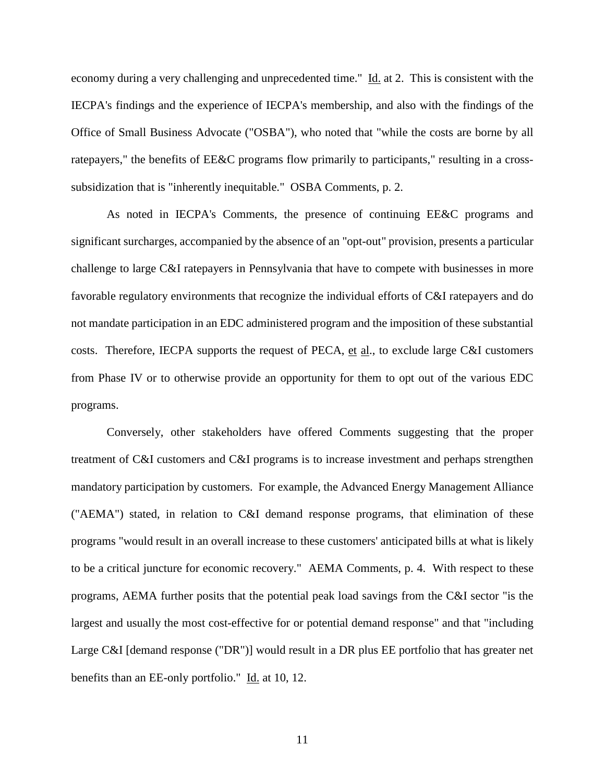economy during a very challenging and unprecedented time." Id. at 2. This is consistent with the IECPA's findings and the experience of IECPA's membership, and also with the findings of the Office of Small Business Advocate ("OSBA"), who noted that "while the costs are borne by all ratepayers," the benefits of EE&C programs flow primarily to participants," resulting in a crosssubsidization that is "inherently inequitable." OSBA Comments, p. 2.

As noted in IECPA's Comments, the presence of continuing EE&C programs and significant surcharges, accompanied by the absence of an "opt-out" provision, presents a particular challenge to large C&I ratepayers in Pennsylvania that have to compete with businesses in more favorable regulatory environments that recognize the individual efforts of C&I ratepayers and do not mandate participation in an EDC administered program and the imposition of these substantial costs. Therefore, IECPA supports the request of PECA, et al., to exclude large C&I customers from Phase IV or to otherwise provide an opportunity for them to opt out of the various EDC programs.

Conversely, other stakeholders have offered Comments suggesting that the proper treatment of C&I customers and C&I programs is to increase investment and perhaps strengthen mandatory participation by customers. For example, the Advanced Energy Management Alliance ("AEMA") stated, in relation to C&I demand response programs, that elimination of these programs "would result in an overall increase to these customers' anticipated bills at what is likely to be a critical juncture for economic recovery." AEMA Comments, p. 4. With respect to these programs, AEMA further posits that the potential peak load savings from the C&I sector "is the largest and usually the most cost-effective for or potential demand response" and that "including Large C&I [demand response ("DR")] would result in a DR plus EE portfolio that has greater net benefits than an EE-only portfolio." Id. at 10, 12.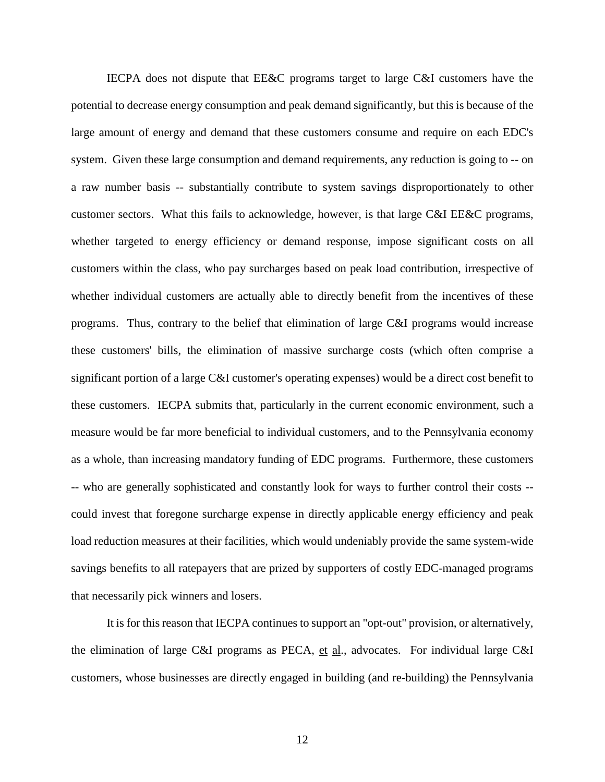IECPA does not dispute that EE&C programs target to large C&I customers have the potential to decrease energy consumption and peak demand significantly, but this is because of the large amount of energy and demand that these customers consume and require on each EDC's system. Given these large consumption and demand requirements, any reduction is going to -- on a raw number basis -- substantially contribute to system savings disproportionately to other customer sectors. What this fails to acknowledge, however, is that large C&I EE&C programs, whether targeted to energy efficiency or demand response, impose significant costs on all customers within the class, who pay surcharges based on peak load contribution, irrespective of whether individual customers are actually able to directly benefit from the incentives of these programs. Thus, contrary to the belief that elimination of large C&I programs would increase these customers' bills, the elimination of massive surcharge costs (which often comprise a significant portion of a large C&I customer's operating expenses) would be a direct cost benefit to these customers. IECPA submits that, particularly in the current economic environment, such a measure would be far more beneficial to individual customers, and to the Pennsylvania economy as a whole, than increasing mandatory funding of EDC programs. Furthermore, these customers -- who are generally sophisticated and constantly look for ways to further control their costs - could invest that foregone surcharge expense in directly applicable energy efficiency and peak load reduction measures at their facilities, which would undeniably provide the same system-wide savings benefits to all ratepayers that are prized by supporters of costly EDC-managed programs that necessarily pick winners and losers.

It is for this reason that IECPA continues to support an "opt-out" provision, or alternatively, the elimination of large C&I programs as PECA, et al., advocates. For individual large C&I customers, whose businesses are directly engaged in building (and re-building) the Pennsylvania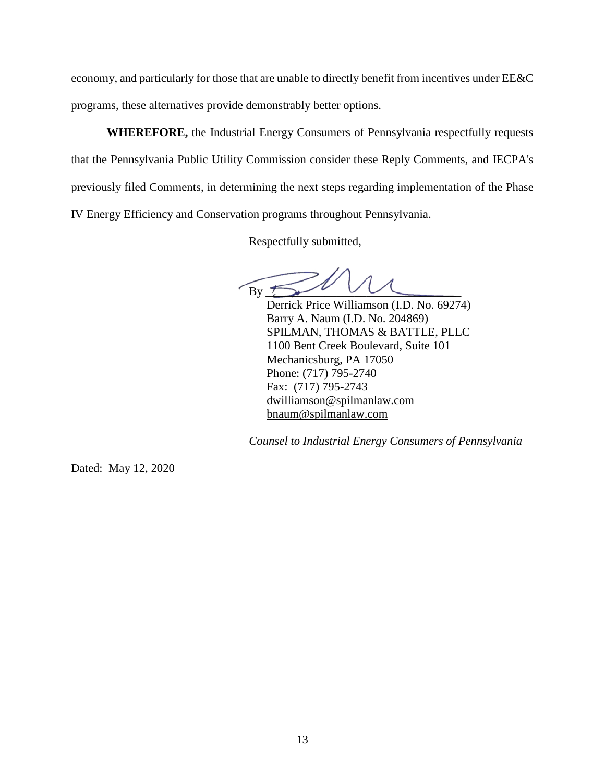economy, and particularly for those that are unable to directly benefit from incentives under EE&C programs, these alternatives provide demonstrably better options.

**WHEREFORE,** the Industrial Energy Consumers of Pennsylvania respectfully requests that the Pennsylvania Public Utility Commission consider these Reply Comments, and IECPA's previously filed Comments, in determining the next steps regarding implementation of the Phase IV Energy Efficiency and Conservation programs throughout Pennsylvania.

Respectfully submitted,

By  $\neq$ 

Derrick Price Williamson (I.D. No. 69274) Barry A. Naum (I.D. No. 204869) SPILMAN, THOMAS & BATTLE, PLLC 1100 Bent Creek Boulevard, Suite 101 Mechanicsburg, PA 17050 Phone: (717) 795-2740 Fax: (717) 795-2743 dwilliamson@spilmanlaw.com bnaum@spilmanlaw.com

*Counsel to Industrial Energy Consumers of Pennsylvania* 

Dated: May 12, 2020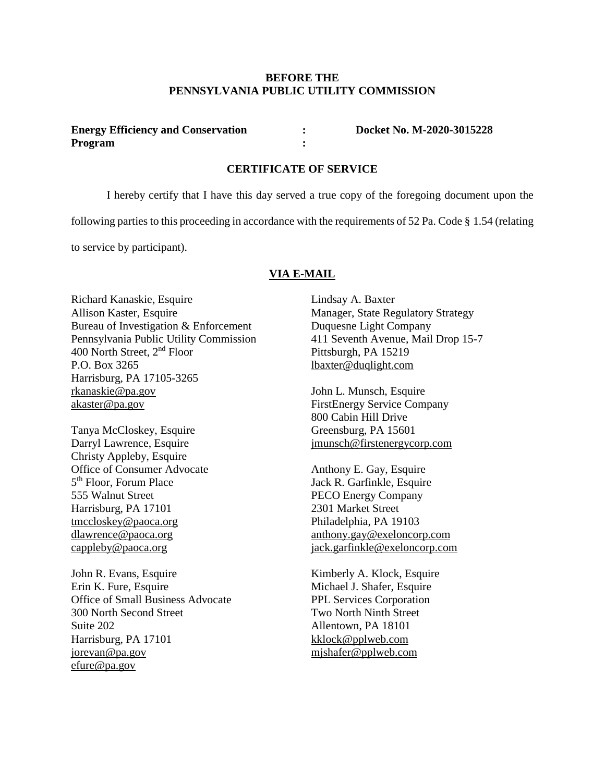# **BEFORE THE PENNSYLVANIA PUBLIC UTILITY COMMISSION**

**Energy Efficiency and Conservation : Docket No. M-2020-3015228**  Program : *x* : *x* : *x* : *x* : *x* : *x* : *x* : *x* : *x* : *x* : *x* : *x* : *x* : *x* : *x* : *x* : *x* : *x* : *x* : *x* : *x* : *x* : *x* : *x* : *x* : *x* : *x* : *x* : *x* : *x* : *x* : *x* : *x* : *x* 

## **CERTIFICATE OF SERVICE**

I hereby certify that I have this day served a true copy of the foregoing document upon the following parties to this proceeding in accordance with the requirements of 52 Pa. Code § 1.54 (relating to service by participant).

## **VIA E-MAIL**

Richard Kanaskie, Esquire Allison Kaster, Esquire Bureau of Investigation & Enforcement Pennsylvania Public Utility Commission 400 North Street, 2nd Floor P.O. Box 3265 Harrisburg, PA 17105-3265 rkanaskie@pa.gov akaster@pa.gov

Tanya McCloskey, Esquire Darryl Lawrence, Esquire Christy Appleby, Esquire Office of Consumer Advocate 5<sup>th</sup> Floor, Forum Place 555 Walnut Street Harrisburg, PA 17101 tmccloskey@paoca.org dlawrence@paoca.org cappleby@paoca.org

John R. Evans, Esquire Erin K. Fure, Esquire Office of Small Business Advocate 300 North Second Street Suite 202 Harrisburg, PA 17101 jorevan@pa.gov efure@pa.gov

Lindsay A. Baxter Manager, State Regulatory Strategy Duquesne Light Company 411 Seventh Avenue, Mail Drop 15-7 Pittsburgh, PA 15219 lbaxter@duqlight.com

John L. Munsch, Esquire FirstEnergy Service Company 800 Cabin Hill Drive Greensburg, PA 15601 jmunsch@firstenergycorp.com

Anthony E. Gay, Esquire Jack R. Garfinkle, Esquire PECO Energy Company 2301 Market Street Philadelphia, PA 19103 anthony.gay@exeloncorp.com jack.garfinkle@exeloncorp.com

Kimberly A. Klock, Esquire Michael J. Shafer, Esquire PPL Services Corporation Two North Ninth Street Allentown, PA 18101 kklock@pplweb.com mjshafer@pplweb.com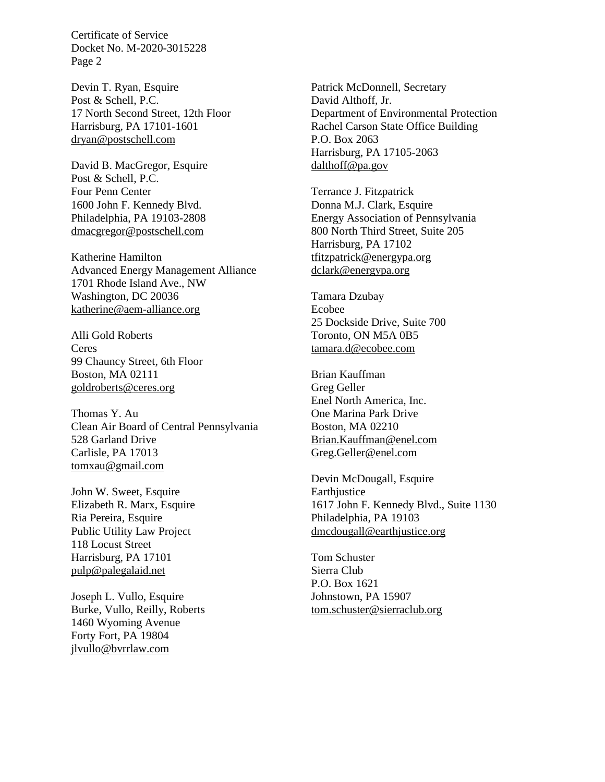Certificate of Service Docket No. M-2020-3015228 Page 2

Devin T. Ryan, Esquire Post & Schell, P.C. 17 North Second Street, 12th Floor Harrisburg, PA 17101-1601 dryan@postschell.com

David B. MacGregor, Esquire Post & Schell, P.C. Four Penn Center 1600 John F. Kennedy Blvd. Philadelphia, PA 19103-2808 dmacgregor@postschell.com

Katherine Hamilton Advanced Energy Management Alliance 1701 Rhode Island Ave., NW Washington, DC 20036 katherine@aem-alliance.org

Alli Gold Roberts Ceres 99 Chauncy Street, 6th Floor Boston, MA 02111 goldroberts@ceres.org

Thomas Y. Au Clean Air Board of Central Pennsylvania 528 Garland Drive Carlisle, PA 17013 tomxau@gmail.com

John W. Sweet, Esquire Elizabeth R. Marx, Esquire Ria Pereira, Esquire Public Utility Law Project 118 Locust Street Harrisburg, PA 17101 pulp@palegalaid.net

Joseph L. Vullo, Esquire Burke, Vullo, Reilly, Roberts 1460 Wyoming Avenue Forty Fort, PA 19804 jlvullo@bvrrlaw.com

Patrick McDonnell, Secretary David Althoff, Jr. Department of Environmental Protection Rachel Carson State Office Building P.O. Box 2063 Harrisburg, PA 17105-2063 dalthoff@pa.gov

Terrance J. Fitzpatrick Donna M.J. Clark, Esquire Energy Association of Pennsylvania 800 North Third Street, Suite 205 Harrisburg, PA 17102 tfitzpatrick@energypa.org dclark@energypa.org

Tamara Dzubay Ecobee 25 Dockside Drive, Suite 700 Toronto, ON M5A 0B5 tamara.d@ecobee.com

Brian Kauffman Greg Geller Enel North America, Inc. One Marina Park Drive Boston, MA 02210 Brian.Kauffman@enel.com Greg.Geller@enel.com

Devin McDougall, Esquire **Earthjustice** 1617 John F. Kennedy Blvd., Suite 1130 Philadelphia, PA 19103 dmcdougall@earthjustice.org

Tom Schuster Sierra Club P.O. Box 1621 Johnstown, PA 15907 tom.schuster@sierraclub.org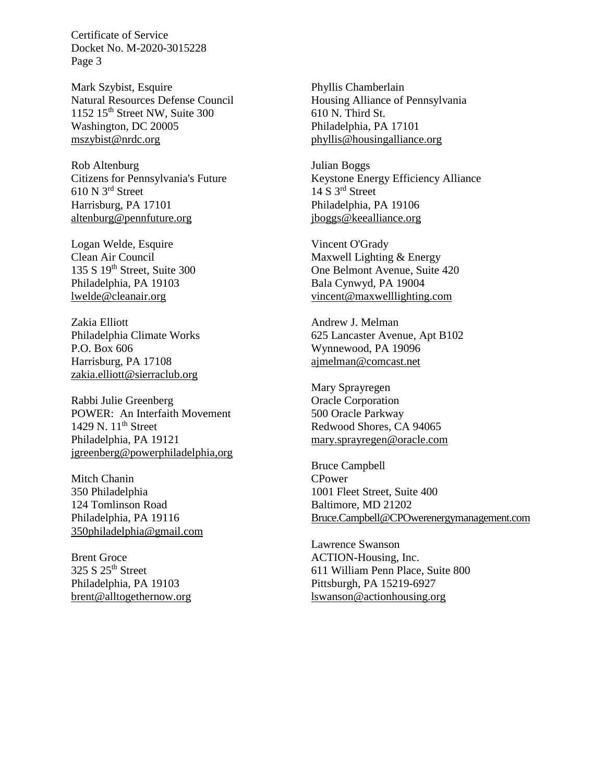Certificate of Service Docket No. M-2020-3015228 Page 3

Mark Szybist, Esquire Natural Resources Defense Council 1152 15<sup>th</sup> Street NW, Suite 300 Washington, DC 20005 mszybist@nrdc.org

Rob Altenburg Citizens for Pennsylvania's Future 610 N 3rd Street Harrisburg, PA 17101 altenburg@pennfuture.org

Logan Welde, Esquire Clean Air Council 135 S 19<sup>th</sup> Street, Suite 300 Philadelphia, PA 19103 lwelde@cleanair.org

Zakia Elliott Philadelphia Climate Works P.O. Box 606 Harrisburg, PA 17108 zakia.elliott@sierraclub.org

Rabbi Julie Greenberg POWER: An Interfaith Movement 1429 N.  $11<sup>th</sup>$  Street Philadelphia, PA 19121 jgreenberg@powerphiladelphia,org

Mitch Chanin 350 Philadelphia 124 Tomlinson Road Philadelphia, PA 19116 350philadelphia@gmail.com

Brent Groce  $325 S 25<sup>th</sup> Street$ Philadelphia, PA 19103 brent@alltogethernow.org Phyllis Chamberlain Housing Alliance of Pennsylvania 610 N. Third St. Philadelphia, PA 17101 phyllis@housingalliance.org

Julian Boggs Keystone Energy Efficiency Alliance 14 S 3<sup>rd</sup> Street Philadelphia, PA 19106 jboggs@keealliance.org

Vincent O'Grady Maxwell Lighting & Energy One Belmont Avenue, Suite 420 Bala Cynwyd, PA 19004 vincent@maxwelllighting.com

Andrew J. Melman 625 Lancaster Avenue, Apt B102 Wynnewood, PA 19096 ajmelman@comcast.net

Mary Sprayregen Oracle Corporation 500 Oracle Parkway Redwood Shores, CA 94065 mary.sprayregen@oracle.com

Bruce Campbell **CPower** 1001 Fleet Street, Suite 400 Baltimore, MD 21202 Bruce.Campbell@CPOwerenergymanagement.com

Lawrence Swanson ACTION-Housing, Inc. 611 William Penn Place, Suite 800 Pittsburgh, PA 15219-6927 lswanson@actionhousing.org